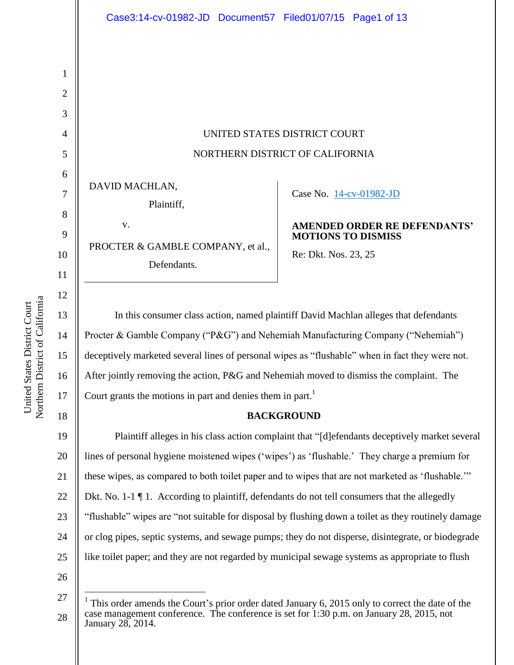UNITED STATES DISTRICT COURT NORTHERN DISTRICT OF CALIFORNIA

DAVID MACHLAN,

Plaintiff,

v. PROCTER & GAMBLE COMPANY, et al., Defendants.

# Case No. [14-cv-01982-JD](https://ecf.cand.uscourts.gov/cgi-bin/DktRpt.pl?276966)

### **AMENDED ORDER RE DEFENDANTS' MOTIONS TO DISMISS**

Re: Dkt. Nos. 23, 25

In this consumer class action, named plaintiff David Machlan alleges that defendants Procter & Gamble Company ("P&G") and Nehemiah Manufacturing Company ("Nehemiah") deceptively marketed several lines of personal wipes as "flushable" when in fact they were not. After jointly removing the action, P&G and Nehemiah moved to dismiss the complaint. The Court grants the motions in part and denies them in part.<sup>1</sup>

# **BACKGROUND**

19 20 21 22 23 24 25 Plaintiff alleges in his class action complaint that "[d]efendants deceptively market several lines of personal hygiene moistened wipes ('wipes') as 'flushable.' They charge a premium for these wipes, as compared to both toilet paper and to wipes that are not marketed as 'flushable.'" Dkt. No. 1-1  $\P$  1. According to plaintiff, defendants do not tell consumers that the allegedly "flushable" wipes are "not suitable for disposal by flushing down a toilet as they routinely damage or clog pipes, septic systems, and sewage pumps; they do not disperse, disintegrate, or biodegrade like toilet paper; and they are not regarded by municipal sewage systems as appropriate to flush

26

 $\overline{a}$ 

Northern District of California Northern District of California United States District Court United States District Court

1

2

3

4

5

6

7

8

9

10

11

12

13

14

15

16

17

<sup>27</sup> 28 1 This order amends the Court's prior order dated January 6, 2015 only to correct the date of the case management conference. The conference is set for 1:30 p.m. on January 28, 2015, not January 28, 2014.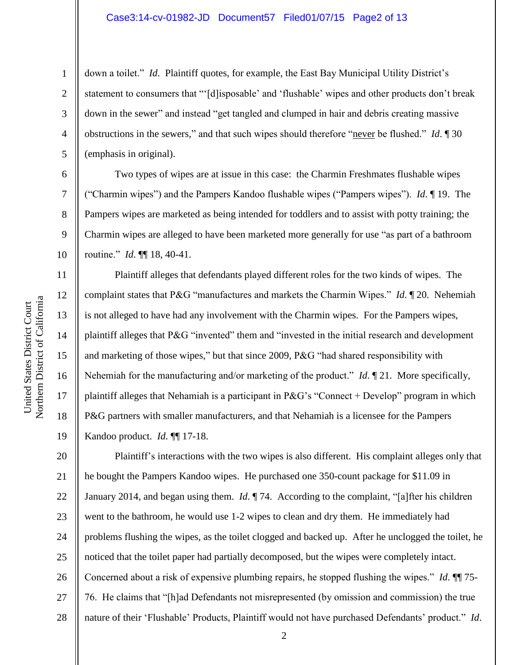#### Case3:14-cv-01982-JD Document57 Filed01/07/15 Page2 of 13

4 down a toilet." *Id*. Plaintiff quotes, for example, the East Bay Municipal Utility District's statement to consumers that "'[d]isposable' and 'flushable' wipes and other products don't break down in the sewer" and instead "get tangled and clumped in hair and debris creating massive obstructions in the sewers," and that such wipes should therefore "never be flushed." *Id*. ¶ 30 (emphasis in original).

Two types of wipes are at issue in this case: the Charmin Freshmates flushable wipes ("Charmin wipes") and the Pampers Kandoo flushable wipes ("Pampers wipes"). *Id*. ¶ 19. The Pampers wipes are marketed as being intended for toddlers and to assist with potty training; the Charmin wipes are alleged to have been marketed more generally for use "as part of a bathroom routine." *Id*. ¶¶ 18, 40-41.

Plaintiff alleges that defendants played different roles for the two kinds of wipes. The complaint states that P&G "manufactures and markets the Charmin Wipes." *Id*. ¶ 20. Nehemiah is not alleged to have had any involvement with the Charmin wipes. For the Pampers wipes, plaintiff alleges that P&G "invented" them and "invested in the initial research and development and marketing of those wipes," but that since 2009, P&G "had shared responsibility with Nehemiah for the manufacturing and/or marketing of the product." *Id*. ¶ 21. More specifically, plaintiff alleges that Nehamiah is a participant in P&G's "Connect + Develop" program in which P&G partners with smaller manufacturers, and that Nehamiah is a licensee for the Pampers Kandoo product. *Id*. ¶¶ 17-18.

20 21 22 23 24 25 26 27 28 Plaintiff's interactions with the two wipes is also different. His complaint alleges only that he bought the Pampers Kandoo wipes. He purchased one 350-count package for \$11.09 in January 2014, and began using them. *Id*. ¶ 74. According to the complaint, "[a]fter his children went to the bathroom, he would use 1-2 wipes to clean and dry them. He immediately had problems flushing the wipes, as the toilet clogged and backed up. After he unclogged the toilet, he noticed that the toilet paper had partially decomposed, but the wipes were completely intact. Concerned about a risk of expensive plumbing repairs, he stopped flushing the wipes." *Id*. ¶¶ 75- 76. He claims that "[h]ad Defendants not misrepresented (by omission and commission) the true nature of their 'Flushable' Products, Plaintiff would not have purchased Defendants' product." *Id*.

1

2

3

5

6

7

8

9

10

11

12

13

14

15

16

17

18

19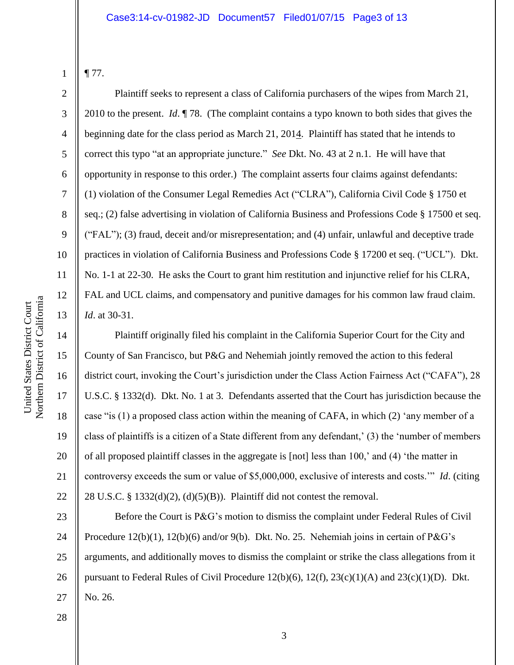1

¶ 77.

2

3

4

5

6

7

8

9

10

11

12

13

14

15

16

17

18

19

20

21

22

Plaintiff seeks to represent a class of California purchasers of the wipes from March 21, 2010 to the present. *Id*. ¶ 78. (The complaint contains a typo known to both sides that gives the beginning date for the class period as March 21, 2014. Plaintiff has stated that he intends to correct this typo "at an appropriate juncture." *See* Dkt. No. 43 at 2 n.1. He will have that opportunity in response to this order.) The complaint asserts four claims against defendants: (1) violation of the Consumer Legal Remedies Act ("CLRA"), California Civil Code § 1750 et seq.; (2) false advertising in violation of California Business and Professions Code § 17500 et seq. ("FAL"); (3) fraud, deceit and/or misrepresentation; and (4) unfair, unlawful and deceptive trade practices in violation of California Business and Professions Code § 17200 et seq. ("UCL"). Dkt. No. 1-1 at 22-30. He asks the Court to grant him restitution and injunctive relief for his CLRA, FAL and UCL claims, and compensatory and punitive damages for his common law fraud claim. *Id*. at 30-31.

Plaintiff originally filed his complaint in the California Superior Court for the City and County of San Francisco, but P&G and Nehemiah jointly removed the action to this federal district court, invoking the Court's jurisdiction under the Class Action Fairness Act ("CAFA"), 28 U.S.C. § 1332(d). Dkt. No. 1 at 3. Defendants asserted that the Court has jurisdiction because the case "is (1) a proposed class action within the meaning of CAFA, in which (2) 'any member of a class of plaintiffs is a citizen of a State different from any defendant,' (3) the 'number of members of all proposed plaintiff classes in the aggregate is [not] less than 100,' and (4) 'the matter in controversy exceeds the sum or value of \$5,000,000, exclusive of interests and costs.'" *Id*. (citing 28 U.S.C. § 1332(d)(2), (d)(5)(B)). Plaintiff did not contest the removal.

23 24 25 26 27 Before the Court is P&G's motion to dismiss the complaint under Federal Rules of Civil Procedure  $12(b)(1)$ ,  $12(b)(6)$  and/or  $9(b)$ . Dkt. No. 25. Nehemiah joins in certain of P&G's arguments, and additionally moves to dismiss the complaint or strike the class allegations from it pursuant to Federal Rules of Civil Procedure 12(b)(6), 12(f), 23(c)(1)(A) and 23(c)(1)(D). Dkt. No. 26.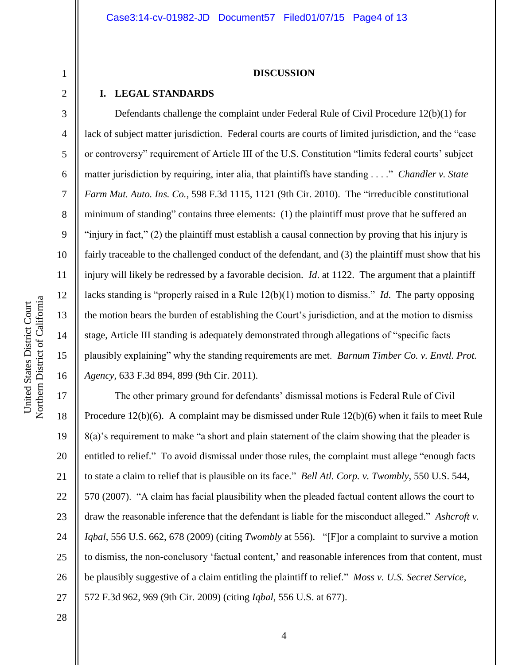#### **DISCUSSION**

### **I. LEGAL STANDARDS**

Defendants challenge the complaint under Federal Rule of Civil Procedure 12(b)(1) for lack of subject matter jurisdiction. Federal courts are courts of limited jurisdiction, and the "case or controversy" requirement of Article III of the U.S. Constitution "limits federal courts' subject matter jurisdiction by requiring, inter alia, that plaintiffs have standing . . . ." *Chandler v. State Farm Mut. Auto. Ins. Co.*, 598 F.3d 1115, 1121 (9th Cir. 2010). The "irreducible constitutional minimum of standing" contains three elements: (1) the plaintiff must prove that he suffered an "injury in fact," (2) the plaintiff must establish a causal connection by proving that his injury is fairly traceable to the challenged conduct of the defendant, and (3) the plaintiff must show that his injury will likely be redressed by a favorable decision. *Id*. at 1122. The argument that a plaintiff lacks standing is "properly raised in a Rule 12(b)(1) motion to dismiss." *Id*. The party opposing the motion bears the burden of establishing the Court's jurisdiction, and at the motion to dismiss stage, Article III standing is adequately demonstrated through allegations of "specific facts plausibly explaining" why the standing requirements are met. *Barnum Timber Co. v. Envtl. Prot. Agency*, 633 F.3d 894, 899 (9th Cir. 2011).

17 18 19 20 21 22 23 24 25 26 27 The other primary ground for defendants' dismissal motions is Federal Rule of Civil Procedure 12(b)(6). A complaint may be dismissed under Rule 12(b)(6) when it fails to meet Rule 8(a)'s requirement to make "a short and plain statement of the claim showing that the pleader is entitled to relief." To avoid dismissal under those rules, the complaint must allege "enough facts to state a claim to relief that is plausible on its face." *Bell Atl. Corp. v. Twombly*, 550 U.S. 544, 570 (2007). "A claim has facial plausibility when the pleaded factual content allows the court to draw the reasonable inference that the defendant is liable for the misconduct alleged." *Ashcroft v. Iqbal*, 556 U.S. 662, 678 (2009) (citing *Twombly* at 556). "[F]or a complaint to survive a motion to dismiss, the non-conclusory 'factual content,' and reasonable inferences from that content, must be plausibly suggestive of a claim entitling the plaintiff to relief." *Moss v. U.S. Secret Service*, 572 F.3d 962, 969 (9th Cir. 2009) (citing *Iqbal*, 556 U.S. at 677).

10

11

12

13

14

15

16

28

1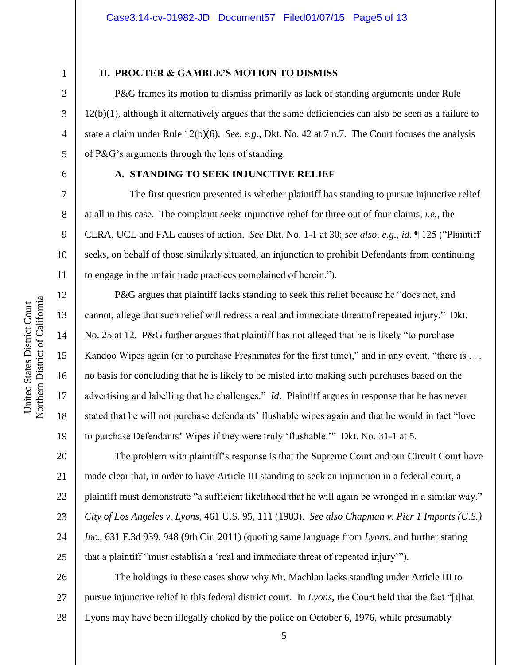4

5

7

8

9

10

11

12

13

14

15

16

17

18

19

1

### **II. PROCTER & GAMBLE'S MOTION TO DISMISS**

P&G frames its motion to dismiss primarily as lack of standing arguments under Rule 12(b)(1), although it alternatively argues that the same deficiencies can also be seen as a failure to state a claim under Rule 12(b)(6). *See*, *e.g.*, Dkt. No. 42 at 7 n.7. The Court focuses the analysis of P&G's arguments through the lens of standing.

6

### **A. STANDING TO SEEK INJUNCTIVE RELIEF**

The first question presented is whether plaintiff has standing to pursue injunctive relief at all in this case. The complaint seeks injunctive relief for three out of four claims, *i.e.*, the CLRA, UCL and FAL causes of action. *See* Dkt. No. 1-1 at 30; *see also*, *e.g.*, *id*. ¶ 125 ("Plaintiff seeks, on behalf of those similarly situated, an injunction to prohibit Defendants from continuing to engage in the unfair trade practices complained of herein.").

P&G argues that plaintiff lacks standing to seek this relief because he "does not, and cannot, allege that such relief will redress a real and immediate threat of repeated injury." Dkt. No. 25 at 12. P&G further argues that plaintiff has not alleged that he is likely "to purchase Kandoo Wipes again (or to purchase Freshmates for the first time)," and in any event, "there is ... no basis for concluding that he is likely to be misled into making such purchases based on the advertising and labelling that he challenges." *Id*. Plaintiff argues in response that he has never stated that he will not purchase defendants' flushable wipes again and that he would in fact "love to purchase Defendants' Wipes if they were truly 'flushable.'" Dkt. No. 31-1 at 5.

20 21 22 23 24 25 The problem with plaintiff's response is that the Supreme Court and our Circuit Court have made clear that, in order to have Article III standing to seek an injunction in a federal court, a plaintiff must demonstrate "a sufficient likelihood that he will again be wronged in a similar way." *City of Los Angeles v. Lyons*, 461 U.S. 95, 111 (1983). *See also Chapman v. Pier 1 Imports (U.S.) Inc.*, 631 F.3d 939, 948 (9th Cir. 2011) (quoting same language from *Lyons*, and further stating that a plaintiff "must establish a 'real and immediate threat of repeated injury'").

26 27 28 The holdings in these cases show why Mr. Machlan lacks standing under Article III to pursue injunctive relief in this federal district court. In *Lyons*, the Court held that the fact "[t]hat Lyons may have been illegally choked by the police on October 6, 1976, while presumably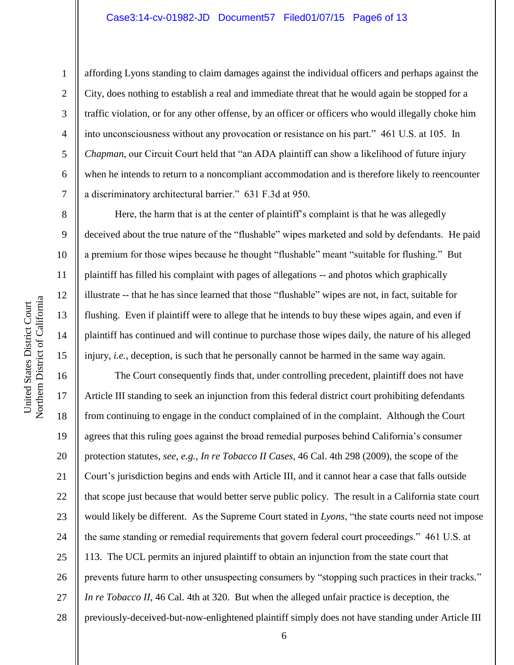#### Case3:14-cv-01982-JD Document57 Filed01/07/15 Page6 of 13

1

2

3

4

5

6

7

8

9

10

11

12

13

14

15

affording Lyons standing to claim damages against the individual officers and perhaps against the City, does nothing to establish a real and immediate threat that he would again be stopped for a traffic violation, or for any other offense, by an officer or officers who would illegally choke him into unconsciousness without any provocation or resistance on his part." 461 U.S. at 105. In *Chapman*, our Circuit Court held that "an ADA plaintiff can show a likelihood of future injury when he intends to return to a noncompliant accommodation and is therefore likely to reencounter a discriminatory architectural barrier." 631 F.3d at 950.

Here, the harm that is at the center of plaintiff's complaint is that he was allegedly deceived about the true nature of the "flushable" wipes marketed and sold by defendants. He paid a premium for those wipes because he thought "flushable" meant "suitable for flushing." But plaintiff has filled his complaint with pages of allegations -- and photos which graphically illustrate -- that he has since learned that those "flushable" wipes are not, in fact, suitable for flushing. Even if plaintiff were to allege that he intends to buy these wipes again, and even if plaintiff has continued and will continue to purchase those wipes daily, the nature of his alleged injury, *i.e.*, deception, is such that he personally cannot be harmed in the same way again.

16 17 18 19 20 21 22 23 24 25 26 27 28 The Court consequently finds that, under controlling precedent, plaintiff does not have Article III standing to seek an injunction from this federal district court prohibiting defendants from continuing to engage in the conduct complained of in the complaint. Although the Court agrees that this ruling goes against the broad remedial purposes behind California's consumer protection statutes, *see*, *e.g.*, *In re Tobacco II Cases*, 46 Cal. 4th 298 (2009), the scope of the Court's jurisdiction begins and ends with Article III, and it cannot hear a case that falls outside that scope just because that would better serve public policy. The result in a California state court would likely be different. As the Supreme Court stated in *Lyons*, "the state courts need not impose the same standing or remedial requirements that govern federal court proceedings." 461 U.S. at 113. The UCL permits an injured plaintiff to obtain an injunction from the state court that prevents future harm to other unsuspecting consumers by "stopping such practices in their tracks." *In re Tobacco II*, 46 Cal. 4th at 320. But when the alleged unfair practice is deception, the previously-deceived-but-now-enlightened plaintiff simply does not have standing under Article III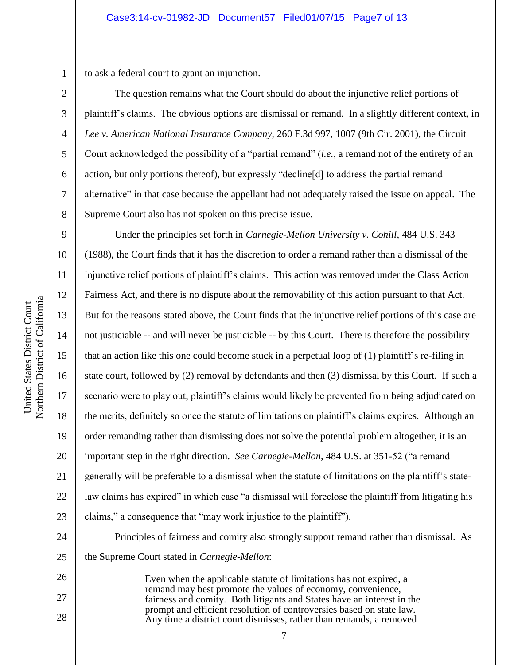1

2

3

4

5

6

7

8

9

10

11

12

13

14

15

17

18

19

21

23

24

25

26

27

28

to ask a federal court to grant an injunction.

The question remains what the Court should do about the injunctive relief portions of plaintiff's claims. The obvious options are dismissal or remand. In a slightly different context, in *Lee v. American National Insurance Company*, 260 F.3d 997, 1007 (9th Cir. 2001), the Circuit Court acknowledged the possibility of a "partial remand" (*i.e.*, a remand not of the entirety of an action, but only portions thereof), but expressly "decline[d] to address the partial remand alternative" in that case because the appellant had not adequately raised the issue on appeal. The Supreme Court also has not spoken on this precise issue.

16 20 22 Under the principles set forth in *Carnegie-Mellon University v. Cohill*, 484 U.S. 343 (1988), the Court finds that it has the discretion to order a remand rather than a dismissal of the injunctive relief portions of plaintiff's claims. This action was removed under the Class Action Fairness Act, and there is no dispute about the removability of this action pursuant to that Act. But for the reasons stated above, the Court finds that the injunctive relief portions of this case are not justiciable -- and will never be justiciable -- by this Court. There is therefore the possibility that an action like this one could become stuck in a perpetual loop of (1) plaintiff's re-filing in state court, followed by (2) removal by defendants and then (3) dismissal by this Court. If such a scenario were to play out, plaintiff's claims would likely be prevented from being adjudicated on the merits, definitely so once the statute of limitations on plaintiff's claims expires. Although an order remanding rather than dismissing does not solve the potential problem altogether, it is an important step in the right direction. *See Carnegie-Mellon*, 484 U.S. at 351-52 ("a remand generally will be preferable to a dismissal when the statute of limitations on the plaintiff's statelaw claims has expired" in which case "a dismissal will foreclose the plaintiff from litigating his claims," a consequence that "may work injustice to the plaintiff").

Principles of fairness and comity also strongly support remand rather than dismissal. As the Supreme Court stated in *Carnegie-Mellon*:

Even when the applicable statute of limitations has not expired, a remand may best promote the values of economy, convenience, fairness and comity. Both litigants and States have an interest in the prompt and efficient resolution of controversies based on state law. Any time a district court dismisses, rather than remands, a removed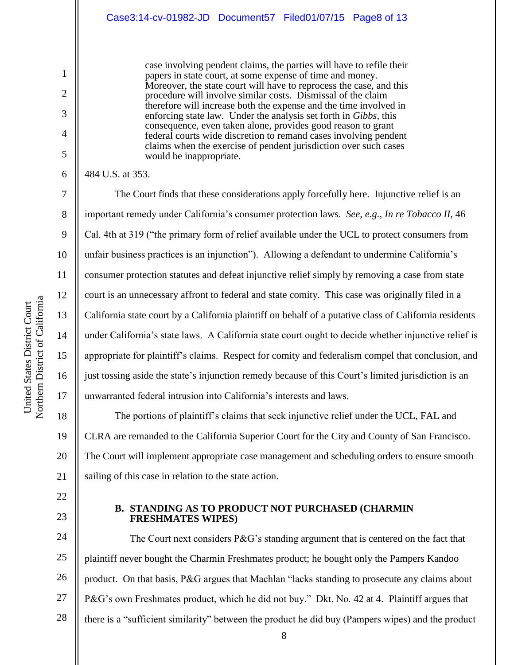case involving pendent claims, the parties will have to refile their papers in state court, at some expense of time and money. Moreover, the state court will have to reprocess the case, and this procedure will involve similar costs. Dismissal of the claim therefore will increase both the expense and the time involved in enforcing state law. Under the analysis set forth in *Gibbs*, this consequence, even taken alone, provides good reason to grant federal courts wide discretion to remand cases involving pendent claims when the exercise of pendent jurisdiction over such cases would be inappropriate.

484 U.S. at 353.

1

2

3

4

5

6

7

8

9

10

11

12

13

14

15

16

17

22

23

The Court finds that these considerations apply forcefully here. Injunctive relief is an important remedy under California's consumer protection laws. *See*, *e.g.*, *In re Tobacco II*, 46 Cal. 4th at 319 ("the primary form of relief available under the UCL to protect consumers from unfair business practices is an injunction"). Allowing a defendant to undermine California's consumer protection statutes and defeat injunctive relief simply by removing a case from state court is an unnecessary affront to federal and state comity. This case was originally filed in a California state court by a California plaintiff on behalf of a putative class of California residents under California's state laws. A California state court ought to decide whether injunctive relief is appropriate for plaintiff's claims. Respect for comity and federalism compel that conclusion, and just tossing aside the state's injunction remedy because of this Court's limited jurisdiction is an unwarranted federal intrusion into California's interests and laws.

18 19 20 21 The portions of plaintiff's claims that seek injunctive relief under the UCL, FAL and CLRA are remanded to the California Superior Court for the City and County of San Francisco. The Court will implement appropriate case management and scheduling orders to ensure smooth sailing of this case in relation to the state action.

## **B. STANDING AS TO PRODUCT NOT PURCHASED (CHARMIN FRESHMATES WIPES)**

24 25 26 27 28 The Court next considers  $P\&G$ 's standing argument that is centered on the fact that plaintiff never bought the Charmin Freshmates product; he bought only the Pampers Kandoo product. On that basis, P&G argues that Machlan "lacks standing to prosecute any claims about P&G's own Freshmates product, which he did not buy." Dkt. No. 42 at 4. Plaintiff argues that there is a "sufficient similarity" between the product he did buy (Pampers wipes) and the product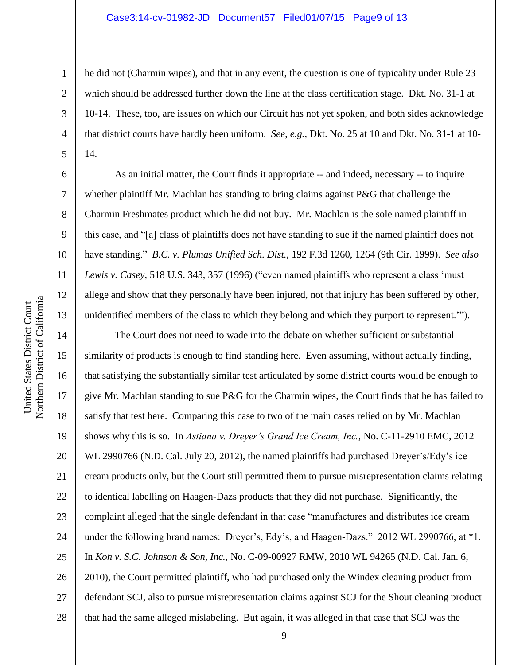#### Case3:14-cv-01982-JD Document57 Filed01/07/15 Page9 of 13

he did not (Charmin wipes), and that in any event, the question is one of typicality under Rule 23 which should be addressed further down the line at the class certification stage. Dkt. No. 31-1 at 10-14. These, too, are issues on which our Circuit has not yet spoken, and both sides acknowledge that district courts have hardly been uniform. *See*, *e.g.*, Dkt. No. 25 at 10 and Dkt. No. 31-1 at 10- 14.

As an initial matter, the Court finds it appropriate -- and indeed, necessary -- to inquire whether plaintiff Mr. Machlan has standing to bring claims against P&G that challenge the Charmin Freshmates product which he did not buy. Mr. Machlan is the sole named plaintiff in this case, and "[a] class of plaintiffs does not have standing to sue if the named plaintiff does not have standing." *B.C. v. Plumas Unified Sch. Dist.*, 192 F.3d 1260, 1264 (9th Cir. 1999). *See also Lewis v. Casey*, 518 U.S. 343, 357 (1996) ("even named plaintiffs who represent a class 'must allege and show that they personally have been injured, not that injury has been suffered by other, unidentified members of the class to which they belong and which they purport to represent.'").

14 15 16 17 18 19 20 21 22 23 24 25 26 27 28 The Court does not need to wade into the debate on whether sufficient or substantial similarity of products is enough to find standing here. Even assuming, without actually finding, that satisfying the substantially similar test articulated by some district courts would be enough to give Mr. Machlan standing to sue P&G for the Charmin wipes, the Court finds that he has failed to satisfy that test here. Comparing this case to two of the main cases relied on by Mr. Machlan shows why this is so. In *Astiana v. Dreyer's Grand Ice Cream, Inc.*, No. C-11-2910 EMC, 2012 WL 2990766 (N.D. Cal. July 20, 2012), the named plaintiffs had purchased Dreyer's/Edy's ice cream products only, but the Court still permitted them to pursue misrepresentation claims relating to identical labelling on Haagen-Dazs products that they did not purchase. Significantly, the complaint alleged that the single defendant in that case "manufactures and distributes ice cream under the following brand names: Dreyer's, Edy's, and Haagen-Dazs." 2012 WL 2990766, at \*1. In *Koh v. S.C. Johnson & Son, Inc.*, No. C-09-00927 RMW, 2010 WL 94265 (N.D. Cal. Jan. 6, 2010), the Court permitted plaintiff, who had purchased only the Windex cleaning product from defendant SCJ, also to pursue misrepresentation claims against SCJ for the Shout cleaning product that had the same alleged mislabeling. But again, it was alleged in that case that SCJ was the

1

2

3

4

5

6

7

8

9

10

11

12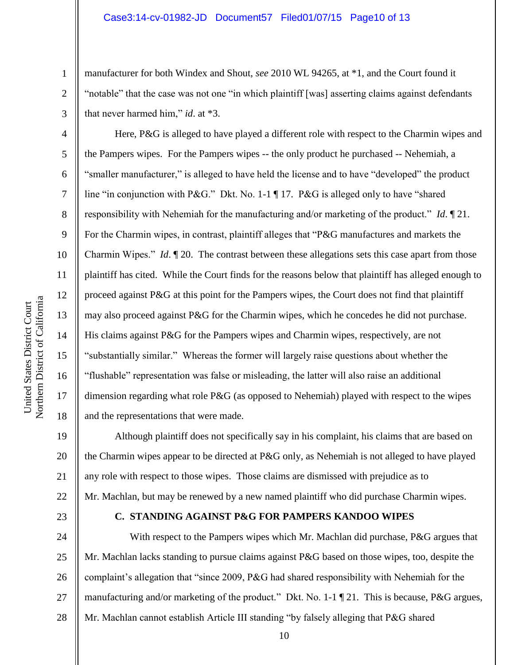manufacturer for both Windex and Shout, *see* 2010 WL 94265, at \*1, and the Court found it "notable" that the case was not one "in which plaintiff [was] asserting claims against defendants that never harmed him," *id*. at \*3.

Here, P&G is alleged to have played a different role with respect to the Charmin wipes and the Pampers wipes. For the Pampers wipes -- the only product he purchased -- Nehemiah, a "smaller manufacturer," is alleged to have held the license and to have "developed" the product line "in conjunction with P&G." Dkt. No. 1-1 ¶ 17. P&G is alleged only to have "shared" responsibility with Nehemiah for the manufacturing and/or marketing of the product." *Id*. ¶ 21. For the Charmin wipes, in contrast, plaintiff alleges that "P&G manufactures and markets the Charmin Wipes." *Id*. ¶ 20. The contrast between these allegations sets this case apart from those plaintiff has cited. While the Court finds for the reasons below that plaintiff has alleged enough to proceed against P&G at this point for the Pampers wipes, the Court does not find that plaintiff may also proceed against P&G for the Charmin wipes, which he concedes he did not purchase. His claims against P&G for the Pampers wipes and Charmin wipes, respectively, are not "substantially similar." Whereas the former will largely raise questions about whether the "flushable" representation was false or misleading, the latter will also raise an additional dimension regarding what role P&G (as opposed to Nehemiah) played with respect to the wipes and the representations that were made.

19 20 21 22 Although plaintiff does not specifically say in his complaint, his claims that are based on the Charmin wipes appear to be directed at P&G only, as Nehemiah is not alleged to have played any role with respect to those wipes. Those claims are dismissed with prejudice as to Mr. Machlan, but may be renewed by a new named plaintiff who did purchase Charmin wipes.

23

## **C. STANDING AGAINST P&G FOR PAMPERS KANDOO WIPES**

24 25 26 27 28 With respect to the Pampers wipes which Mr. Machlan did purchase, P&G argues that Mr. Machlan lacks standing to pursue claims against P&G based on those wipes, too, despite the complaint's allegation that "since 2009, P&G had shared responsibility with Nehemiah for the manufacturing and/or marketing of the product." Dkt. No. 1-1 ¶ 21. This is because, P&G argues, Mr. Machlan cannot establish Article III standing "by falsely alleging that P&G shared

1

2

3

4

5

6

7

8

9

10

11

12

13

14

15

16

17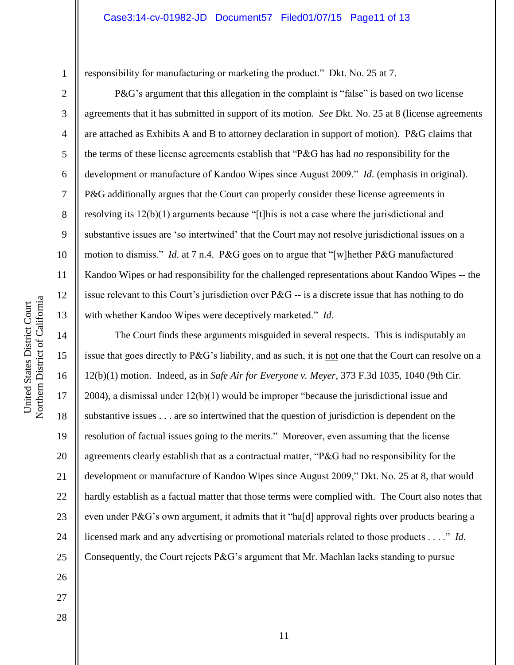responsibility for manufacturing or marketing the product." Dkt. No. 25 at 7.

P&G's argument that this allegation in the complaint is "false" is based on two license agreements that it has submitted in support of its motion. *See* Dkt. No. 25 at 8 (license agreements are attached as Exhibits A and B to attorney declaration in support of motion). P&G claims that the terms of these license agreements establish that "P&G has had *no* responsibility for the development or manufacture of Kandoo Wipes since August 2009." *Id*. (emphasis in original). P&G additionally argues that the Court can properly consider these license agreements in resolving its 12(b)(1) arguments because "[t]his is not a case where the jurisdictional and substantive issues are 'so intertwined' that the Court may not resolve jurisdictional issues on a motion to dismiss." *Id*. at 7 n.4. P&G goes on to argue that "[w]hether P&G manufactured Kandoo Wipes or had responsibility for the challenged representations about Kandoo Wipes -- the issue relevant to this Court's jurisdiction over P&G -- is a discrete issue that has nothing to do with whether Kandoo Wipes were deceptively marketed." *Id*.

The Court finds these arguments misguided in several respects. This is indisputably an issue that goes directly to P&G's liability, and as such, it is not one that the Court can resolve on a 12(b)(1) motion. Indeed, as in *Safe Air for Everyone v. Meyer*, 373 F.3d 1035, 1040 (9th Cir. 2004), a dismissal under 12(b)(1) would be improper "because the jurisdictional issue and substantive issues . . . are so intertwined that the question of jurisdiction is dependent on the resolution of factual issues going to the merits." Moreover, even assuming that the license agreements clearly establish that as a contractual matter, "P&G had no responsibility for the development or manufacture of Kandoo Wipes since August 2009," Dkt. No. 25 at 8, that would hardly establish as a factual matter that those terms were complied with. The Court also notes that even under P&G's own argument, it admits that it "ha[d] approval rights over products bearing a licensed mark and any advertising or promotional materials related to those products . . . ." *Id*. Consequently, the Court rejects P&G's argument that Mr. Machlan lacks standing to pursue

1

2

3

4

5

6

7

8

9

10

11

12

13

14

15

16

17

18

19

20

21

22

23

24

25

26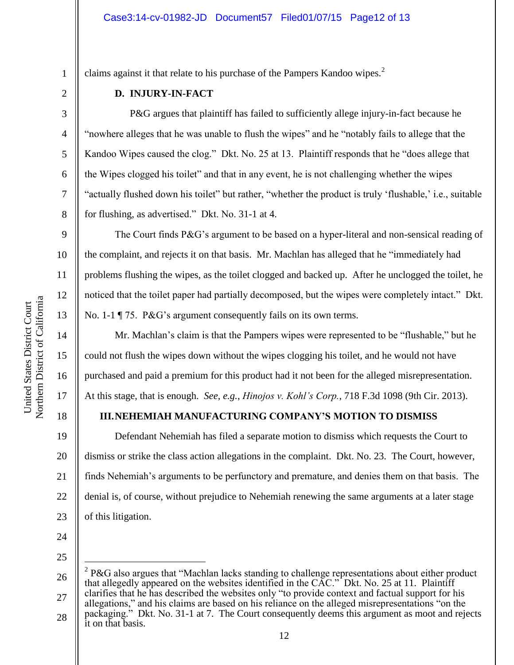claims against it that relate to his purchase of the Pampers Kandoo wipes.<sup>2</sup>

## **D. INJURY-IN-FACT**

P&G argues that plaintiff has failed to sufficiently allege injury-in-fact because he "nowhere alleges that he was unable to flush the wipes" and he "notably fails to allege that the Kandoo Wipes caused the clog." Dkt. No. 25 at 13. Plaintiff responds that he "does allege that the Wipes clogged his toilet" and that in any event, he is not challenging whether the wipes "actually flushed down his toilet" but rather, "whether the product is truly 'flushable,' i.e., suitable for flushing, as advertised." Dkt. No. 31-1 at 4.

The Court finds P&G's argument to be based on a hyper-literal and non-sensical reading of the complaint, and rejects it on that basis. Mr. Machlan has alleged that he "immediately had problems flushing the wipes, as the toilet clogged and backed up. After he unclogged the toilet, he noticed that the toilet paper had partially decomposed, but the wipes were completely intact." Dkt. No. 1-1 ¶ 75. P&G's argument consequently fails on its own terms.

Mr. Machlan's claim is that the Pampers wipes were represented to be "flushable," but he could not flush the wipes down without the wipes clogging his toilet, and he would not have purchased and paid a premium for this product had it not been for the alleged misrepresentation. At this stage, that is enough. *See*, *e.g.*, *Hinojos v. Kohl's Corp.*, 718 F.3d 1098 (9th Cir. 2013).

# **III.NEHEMIAH MANUFACTURING COMPANY'S MOTION TO DISMISS**

19 20 21 22 23 Defendant Nehemiah has filed a separate motion to dismiss which requests the Court to dismiss or strike the class action allegations in the complaint. Dkt. No. 23. The Court, however, finds Nehemiah's arguments to be perfunctory and premature, and denies them on that basis. The denial is, of course, without prejudice to Nehemiah renewing the same arguments at a later stage of this litigation.

- 24
- 25

 $\overline{a}$ 

28 allegations," and his claims are based on his reliance on the alleged misrepresentations "on the packaging." Dkt. No. 31-1 at 7. The Court consequently deems this argument as moot and rejects it on that basis.

1

2

3

4

5

6

7

8

9

10

11

12

13

14

15

16

17

<sup>26</sup> 27  $2$  P&G also argues that "Machlan lacks standing to challenge representations about either product that allegedly appeared on the websites identified in the CAC." Dkt. No. 25 at 11. Plaintiff clarifies that he has described the websites only "to provide context and factual support for his